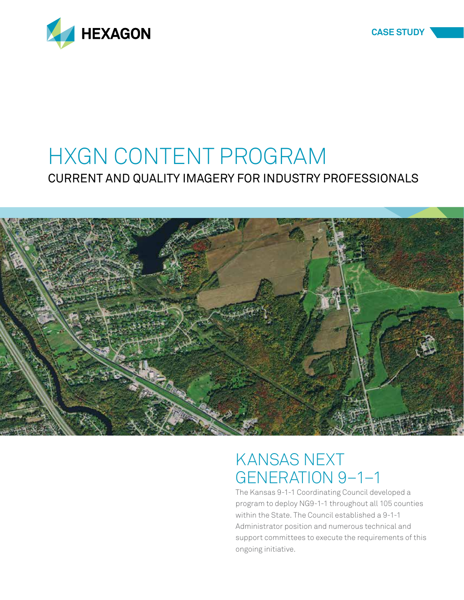

## HXGN CONTENT PROGRAM CURRENT AND QUALITY IMAGERY FOR INDUSTRY PROFESSIONALS



## KANSAS NEXT GENERATION 9–1–1

The Kansas 9-1-1 Coordinating Council developed a program to deploy NG9-1-1 throughout all 105 counties within the State. The Council established a 9-1-1 Administrator position and numerous technical and support committees to execute the requirements of this ongoing initiative.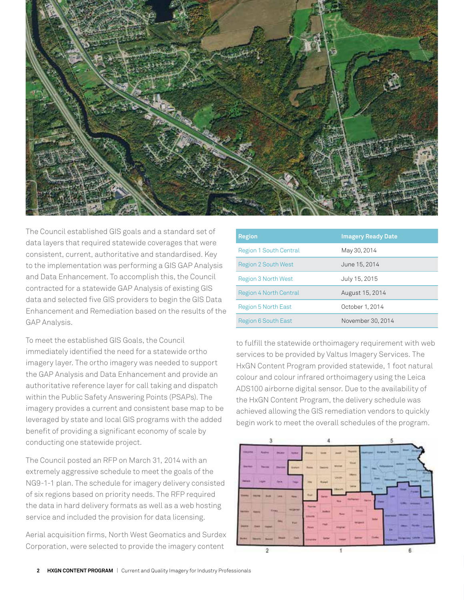

The Council established GIS goals and a standard set of data layers that required statewide coverages that were consistent, current, authoritative and standardised. Key to the implementation was performing a GIS GAP Analysis and Data Enhancement. To accomplish this, the Council contracted for a statewide GAP Analysis of existing GIS data and selected five GIS providers to begin the GIS Data Enhancement and Remediation based on the results of the GAP Analysis.

To meet the established GIS Goals, the Council immediately identified the need for a statewide ortho imagery layer. The ortho imagery was needed to support the GAP Analysis and Data Enhancement and provide an authoritative reference layer for call taking and dispatch within the Public Safety Answering Points (PSAPs). The imagery provides a current and consistent base map to be leveraged by state and local GIS programs with the added benefit of providing a significant economy of scale by conducting one statewide project.

The Council posted an RFP on March 31, 2014 with an extremely aggressive schedule to meet the goals of the NG9-1-1 plan. The schedule for imagery delivery consisted of six regions based on priority needs. The RFP required the data in hard delivery formats as well as a web hosting service and included the provision for data licensing.

Aerial acquisition firms, North West Geomatics and Surdex Corporation, were selected to provide the imagery content

| <b>Region</b>                 | <b>Imagery Ready Date</b> |
|-------------------------------|---------------------------|
| <b>Region 1 South Central</b> | May 30, 2014              |
| <b>Region 2 South West</b>    | June 15, 2014             |
| Region 3 North West           | July 15, 2015             |
| Region 4 North Central        | August 15, 2014           |
| Region 5 North East           | October 1, 2014           |
| Region 6 South East           | November 30, 2014         |

to fulfill the statewide orthoimagery requirement with web services to be provided by Valtus Imagery Services. The HxGN Content Program provided statewide, 1 foot natural colour and colour infrared orthoimagery using the Leica ADS100 airborne digital sensor. Due to the availability of the HxGN Content Program, the delivery schedule was achieved allowing the GIS remediation vendors to quickly begin work to meet the overall schedules of the program.

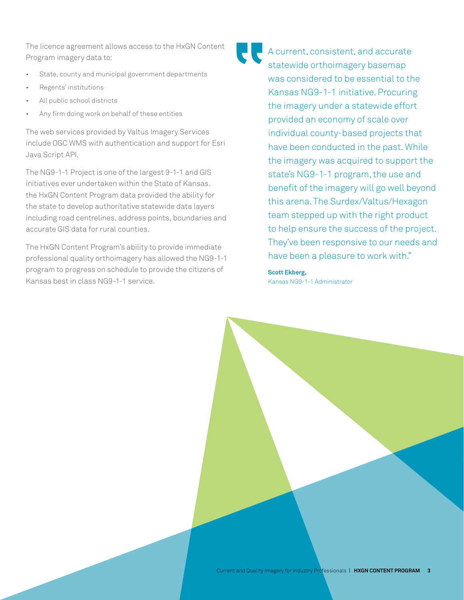The licence agreement allows access to the HxGN Content Program imagery data to:

- State, county and municipal government departments
- Regents' institutions
- All public school districts
- Any firm doing work on behalf of these entities

The web services provided by Valtus Imagery Services include OGC WMS with authentication and support for Esri Java Script API.

The NG9-1-1 Project is one of the largest 9-1-1 and GIS initiatives ever undertaken within the State of Kansas. the HxGN Content Program data provided the ability for the state to develop authoritative statewide data layers including road centrelines, address points, boundaries and accurate GIS data for rural counties.

The HxGN Content Program's ability to provide immediate professional quality orthoimagery has allowed the NG9-1-1 program to progress on schedule to provide the citizens of Kansas best in class NG9-1-1 service.

A current, consistent, and accurate statewide orthoimagery basemap was considered to be essential to the Kansas NG9-1-1 initiative. Procuring the imagery under a statewide effort provided an economy of scale over individual county-based projects that have been conducted in the past. While the imagery was acquired to support the state's NG9-1-1 program, the use and benefit of the imagery will go well beyond this arena. The Surdex/Valtus/Hexagon team stepped up with the right product to help ensure the success of the project. They've been responsive to our needs and have been a pleasure to work with."

**Scott Ekberg,**  Kansas NG9-1-1 Administrator